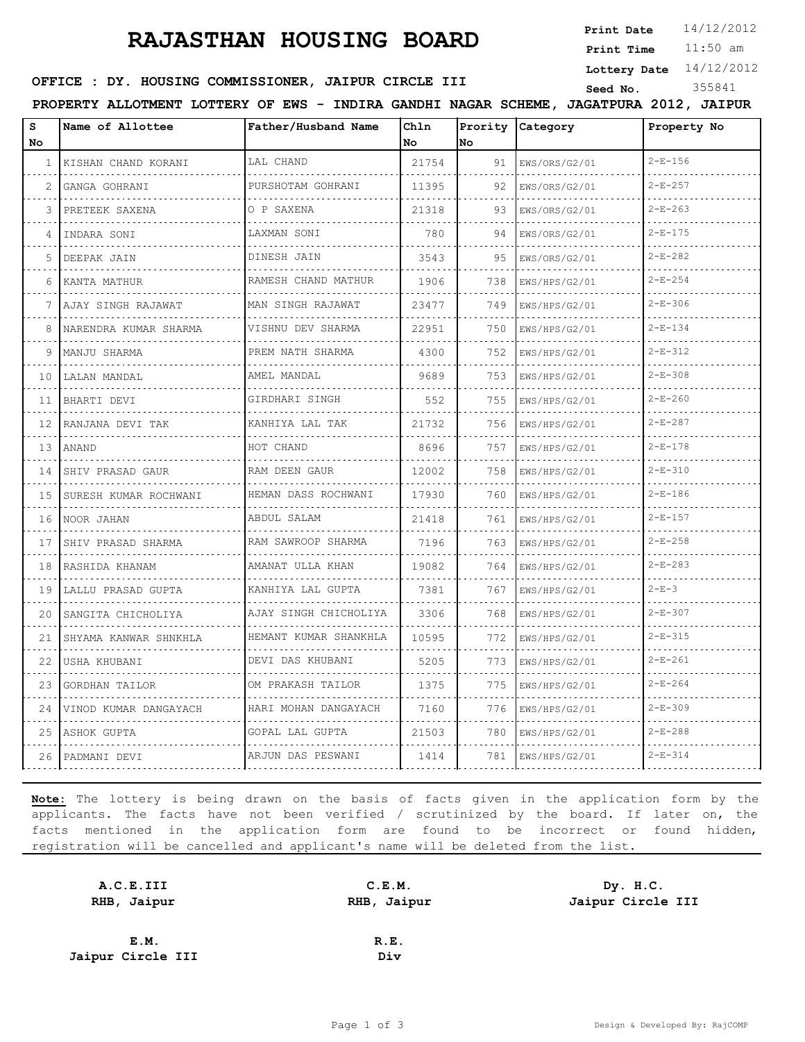## **RAJASTHAN HOUSING BOARD**

**Print Date**  $14/12/2012$ 

11:50 am **Print Time Lottery Date** 14/12/2012

#### **SEED OFFICE : DY. HOUSING COMMISSIONER, JAIPUR CIRCLE III** Seed No. 355841

**PROPERTY ALLOTMENT LOTTERY OF EWS - INDIRA GANDHI NAGAR SCHEME, JAGATPURA 2012, JAIPUR**

| s<br>No | Name of Allottee      | Father/Husband Name    | Chln<br>No | Prority<br>lno | <b>Category</b> | Property No   |
|---------|-----------------------|------------------------|------------|----------------|-----------------|---------------|
|         | 1 KISHAN CHAND KORANI | LAL CHAND              | 21754      | 91             | EWS/ORS/G2/01   | $2-E-156$     |
| 2       | GANGA GOHRANI         | PURSHOTAM GOHRANI      | 11395      | 92             | EWS/ORS/G2/01   | $2 - E - 257$ |
| 3       | PRETEEK SAXENA        | O P SAXENA             | 21318      | 93             | EWS/ORS/G2/01   | $2-E-263$     |
| 4       | INDARA SONI           | LAXMAN SONI            | 780        | 94             | EWS/ORS/G2/01   | $2-E-175$     |
| 5       | DEEPAK JAIN           | DINESH JAIN            | 3543       | 95             | EWS/ORS/G2/01   | $2-E-282$     |
| 6       | KANTA MATHUR          | RAMESH CHAND MATHUR    | 1906       | 738            | EWS/HPS/G2/01   | $2-E-254$     |
| 7       | AJAY SINGH RAJAWAT    | .<br>MAN SINGH RAJAWAT | 23477      | 749            | EWS/HPS/G2/01   | $2 - E - 306$ |
| 8       | NARENDRA KUMAR SHARMA | VISHNU DEV SHARMA      | 22951      | 750            | EWS/HPS/G2/01   | $2 - E - 134$ |
| 9       | MANJU SHARMA          | PREM NATH SHARMA       | 4300       | 752            | EWS/HPS/G2/01   | $2-E-312$     |
| 10      | LALAN MANDAL          | AMEL MANDAL            | 9689       | 753            | EWS/HPS/G2/01   | $2 - E - 308$ |
| 11      | BHARTI DEVI           | GIRDHARI SINGH         | 552        | 755            | EWS/HPS/G2/01   | $2 - E - 260$ |
| 12      | RANJANA DEVI TAK      | KANHIYA LAL TAK        | 21732      | 756            | EWS/HPS/G2/01   | $2 - E - 287$ |
| 13      | <b>ANAND</b>          | HOT CHAND              | 8696       | 757            | EWS/HPS/G2/01   | $2-E-178$     |
| 14      | SHIV PRASAD GAUR      | RAM DEEN GAUR          | 12002      | 758            | EWS/HPS/G2/01   | $2 - E - 310$ |
| 15      | SURESH KUMAR ROCHWANI | HEMAN DASS ROCHWANI    | 17930      | 760            | EWS/HPS/G2/01   | $2-E-186$     |
| 16      | NOOR JAHAN            | ABDUL SALAM            | 21418      | 761            | EWS/HPS/G2/01   | $2-E-157$     |
| 17      | SHIV PRASAD SHARMA    | RAM SAWROOP SHARMA     | 7196       | 763            | EWS/HPS/G2/01   | $2-E-258$     |
| 18      | RASHIDA KHANAM        | AMANAT ULLA KHAN<br>.  | 19082      | 764            | EWS/HPS/G2/01   | $2-E-283$     |
| 19      | LALLU PRASAD GUPTA    | KANHIYA LAL GUPTA      | 7381       | 767            | EWS/HPS/G2/01   | $2-E-3$       |
| 20      | SANGITA CHICHOLIYA    | AJAY SINGH CHICHOLIYA  | 3306       | 768            | EWS/HPS/G2/01   | $2 - E - 307$ |
| 21      | SHYAMA KANWAR SHNKHLA | HEMANT KUMAR SHANKHLA  | 10595      | 772            | EWS/HPS/G2/01   | $2 - E - 315$ |
| 22      | USHA KHUBANI          | DEVI DAS KHUBANI       | 5205       | 773            | EWS/HPS/G2/01   | $2-E-261$     |
| 23      | GORDHAN TAILOR        | OM PRAKASH TAILOR      | 1375       | 775            | EWS/HPS/G2/01   | $2-E-264$     |
| 24      | VINOD KUMAR DANGAYACH | HARI MOHAN DANGAYACH   | 7160       | 776            | EWS/HPS/G2/01   | $2 - E - 309$ |
|         | 25 ASHOK GUPTA        | GOPAL LAL GUPTA        | 21503      | 780            | EWS/HPS/G2/01   | $2 - E - 288$ |
|         | 26 PADMANI DEVI       | ARJUN DAS PESWANI      | 1414       | 781            | EWS/HPS/G2/01   | $2 - E - 314$ |
|         |                       |                        |            |                |                 |               |

**Note:** The lottery is being drawn on the basis of facts given in the application form by the applicants. The facts have not been verified / scrutinized by the board. If later on, the facts mentioned in the application form are found to be incorrect or found hidden, registration will be cancelled and applicant's name will be deleted from the list.

| A.C.E.III         | C.E.M.      | Dy. H.C.          |
|-------------------|-------------|-------------------|
| RHB, Jaipur       | RHB, Jaipur | Jaipur Circle III |
|                   |             |                   |
| E.M.              | R.E.        |                   |
| Jaipur Circle III | Div         |                   |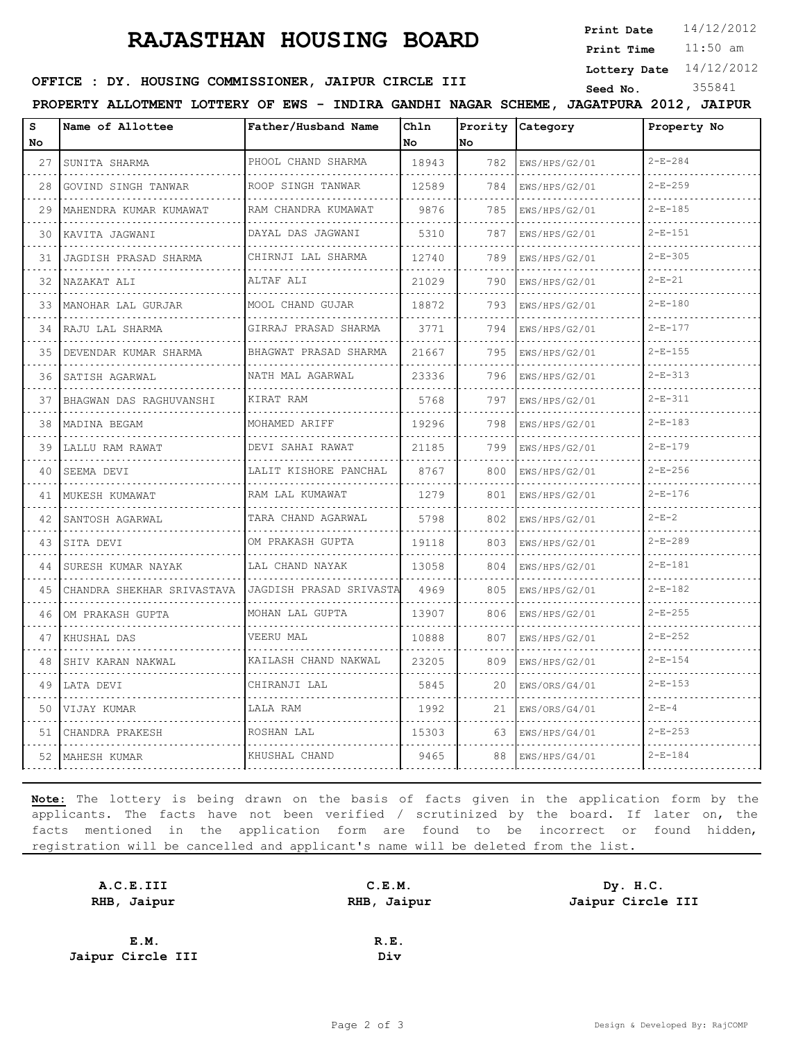# **RAJASTHAN HOUSING BOARD**

**Print Date**  $14/12/2012$ 

11:50 am **Print Time**

**Lottery Date** 14/12/2012

#### **SEED OFFICE : DY. HOUSING COMMISSIONER, JAIPUR CIRCLE III** Seed No. 355841

**PROPERTY ALLOTMENT LOTTERY OF EWS - INDIRA GANDHI NAGAR SCHEME, JAGATPURA 2012, JAIPUR**

| s<br>No | Name of Allottee           | Father/Husband Name       | Chln<br>No | Prority<br>No | Category           | Property No   |
|---------|----------------------------|---------------------------|------------|---------------|--------------------|---------------|
| 27      | SUNITA SHARMA              | PHOOL CHAND SHARMA        | 18943      | 782           | EWS/HPS/G2/01      | $2-E-284$     |
| 28      | .<br>GOVIND SINGH TANWAR   | .<br>ROOP SINGH TANWAR    | 12589      | 784           | .<br>EWS/HPS/G2/01 | $2 - E - 259$ |
| 29      | MAHENDRA KUMAR KUMAWAT     | .<br>RAM CHANDRA KUMAWAT  | 9876       | 785           | EWS/HPS/G2/01      | $2-E-185$     |
| 30      | KAVITA JAGWANI             | DAYAL DAS JAGWANI         | 5310       | 787           | EWS/HPS/G2/01      | $2 - E - 151$ |
| 31      | .<br>JAGDISH PRASAD SHARMA | .<br>CHIRNJI LAL SHARMA   | 12740      | 789           | EWS/HPS/G2/01      | $2-E-305$     |
| 32      | NAZAKAT ALI                | ALTAF ALI                 | 21029      | 790           | EWS/HPS/G2/01      | $2 - E - 21$  |
| 33      | MANOHAR LAL GURJAR         | MOOL CHAND GUJAR          | 18872      | 793           | EWS/HPS/G2/01      | $2 - E - 180$ |
| 34      | RAJU LAL SHARMA            | GIRRAJ PRASAD SHARMA<br>. | 3771       | 794           | EWS/HPS/G2/01      | $2-E-177$     |
| 35      | DEVENDAR KUMAR SHARMA      | BHAGWAT PRASAD SHARMA     | 21667      | 795           | EWS/HPS/G2/01      | $2 - E - 155$ |
| 36      | SATISH AGARWAL             | NATH MAL AGARWAL          | 23336      | 796           | EWS/HPS/G2/01      | $2 - E - 313$ |
| 37      | BHAGWAN DAS RAGHUVANSHI    | KIRAT RAM                 | 5768       | 797           | EWS/HPS/G2/01      | $2 - F - 311$ |
| 38      | MADINA BEGAM               | MOHAMED ARIFF             | 19296      | 798           | EWS/HPS/G2/01      | $2-E-183$     |
| 39      | LALLU RAM RAWAT            | DEVI SAHAI RAWAT          | 21185      | 799           | EWS/HPS/G2/01      | $2 - E - 179$ |
| 40      | SEEMA DEVI                 | LALIT KISHORE PANCHAL     | 8767       | 800           | EWS/HPS/G2/01      | $2-E-256$     |
| 41      | MUKESH KUMAWAT             | RAM LAL KUMAWAT           | 1279       | 801           | EWS/HPS/G2/01      | $2-E-176$     |
| 42      | SANTOSH AGARWAL            | TARA CHAND AGARWAL        | 5798       | 802           | EWS/HPS/G2/01      | $2 - E - 2$   |
| 43      | SITA DEVI                  | OM PRAKASH GUPTA          | 19118      | 803           | EWS/HPS/G2/01      | $2-E-289$     |
| 44      | SURESH KUMAR NAYAK         | LAL CHAND NAYAK           | 13058      | 804           | EWS/HPS/G2/01      | $2 - E - 181$ |
| 45      | CHANDRA SHEKHAR SRIVASTAVA | JAGDISH PRASAD SRIVASTA   | 4969       | 805           | EWS/HPS/G2/01      | $2-E-182$     |
| 46      | OM PRAKASH GUPTA           | MOHAN LAL GUPTA           | 13907      | 806           | EWS/HPS/G2/01      | $2-E-255$     |
| 47      | KHUSHAL DAS                | VEERU MAL                 | 10888      | 807           | EWS/HPS/G2/01      | $2-E-252$     |
| 48      | SHIV KARAN NAKWAL          | KAILASH CHAND NAKWAL      | 23205      | 809           | EWS/HPS/G2/01      | $2 - E - 154$ |
| 49      | LATA DEVI                  | CHIRANJI LAL              | 5845       | 20            | EWS/ORS/G4/01      | $2-E-153$     |
| 50      | VIJAY KUMAR                | LALA RAM                  | 1992       | 21            | EWS/ORS/G4/01      | $2 - E - 4$   |
| 51      | CHANDRA PRAKESH            | ROSHAN LAL                | 15303      | 63            | EWS/HPS/G4/01      | $2-E-253$     |
|         | 52   MAHESH KUMAR          | KHUSHAL CHAND             | 9465       | 88            | EWS/HPS/G4/01      | $2-E-184$     |

**Note:** The lottery is being drawn on the basis of facts given in the application form by the applicants. The facts have not been verified / scrutinized by the board. If later on, the facts mentioned in the application form are found to be incorrect or found hidden, registration will be cancelled and applicant's name will be deleted from the list.

| A.C.E.III         | C.E.M.      | Dy. H.C.          |
|-------------------|-------------|-------------------|
| RHB, Jaipur       | RHB, Jaipur | Jaipur Circle III |
|                   |             |                   |
| E.M.              | R.E.        |                   |
| Jaipur Circle III | Div         |                   |